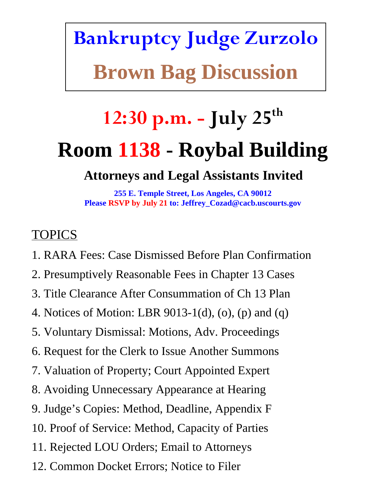# **Bankruptcy Judge Zurzolo Brown Bag Discussion**

# **12:30 p.m. - July 25th Room 1138 - Roybal Building**

**Attorneys and Legal Assistants Invited**

**255 E. Temple Street, Los Angeles, CA 90012 Please RSVP by July 21 to: Jeffrey\_Cozad@cacb.uscourts.gov**

# TOPICS

- 1. RARA Fees: Case Dismissed Before Plan Confirmation
- 2. Presumptively Reasonable Fees in Chapter 13 Cases
- 3. Title Clearance After Consummation of Ch 13 Plan
- 4. Notices of Motion: LBR 9013-1(d), (o), (p) and (q)
- 5. Voluntary Dismissal: Motions, Adv. Proceedings
- 6. Request for the Clerk to Issue Another Summons
- 7. Valuation of Property; Court Appointed Expert
- 8. Avoiding Unnecessary Appearance at Hearing
- 9. Judge's Copies: Method, Deadline, Appendix F
- 10. Proof of Service: Method, Capacity of Parties
- 11. Rejected LOU Orders; Email to Attorneys
- 12. Common Docket Errors; Notice to Filer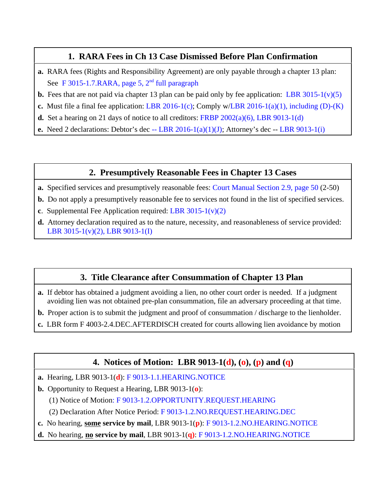### **1. RARA Fees in Ch 13 Case Dismissed Before Plan Confirmation**

- **a.** RARA fees (Rights and Responsibility Agreement) are only payable through a chapter 13 plan: See F 3015-1.7. RARA, page 5,  $2<sup>nd</sup>$  full paragraph
- **b.** Fees that are not paid via chapter 13 plan can be paid only by fee application: LBR  $3015-1(v)(5)$
- **c.** Must file a final fee application: LBR 2016-1(c); Comply w/LBR 2016-1(a)(1), including (D)-(K)
- **d.** Set a hearing on 21 days of notice to all creditors: FRBP 2002(a)(6), LBR 9013-1(d)
- **e.** Need 2 declarations: Debtor's dec  $-$  LBR 2016-1(a)(1)(J); Attorney's dec  $-$  LBR 9013-1(i)

### **2. Presumptively Reasonable Fees in Chapter 13 Cases**

- **a.** Specified services and presumptively reasonable fees: Court Manual Section 2.9, page 50 (2-50)
- **b.** Do not apply a presumptively reasonable fee to services not found in the list of specified services.
- **c**. Supplemental Fee Application required: LBR 3015-1(v)(2)
- **d.** Attorney declaration required as to the nature, necessity, and reasonableness of service provided: LBR 3015-1(v)(2), LBR 9013-1(I)

# **3. Title Clearance after Consummation of Chapter 13 Plan**

- **a.** If debtor has obtained a judgment avoiding a lien, no other court order is needed. If a judgment avoiding lien was not obtained pre-plan consummation, file an adversary proceeding at that time.
- **b.** Proper action is to submit the judgment and proof of consummation / discharge to the lienholder.
- **c.** LBR form F 4003-2.4.DEC.AFTERDISCH created for courts allowing lien avoidance by motion

# **4. Notices of Motion: LBR 9013-1(d), (o), (p) and (q)**

- **a.** Hearing, LBR 9013-1(**d**): F 9013-1.1.HEARING.NOTICE
- **b.** Opportunity to Request a Hearing, LBR 9013-1(**o**):
	- (1) Notice of Motion: F 9013-1.2.OPPORTUNITY.REQUEST.HEARING
	- (2) Declaration After Notice Period: F 9013-1.2.NO.REQUEST.HEARING.DEC
- **c.** No hearing, **some service by mail**, LBR 9013-1(**p**): F 9013-1.2.NO.HEARING.NOTICE
- **d.** No hearing, **no service by mail**, LBR 9013-1(**q)**: F 9013-1.2.NO.HEARING.NOTICE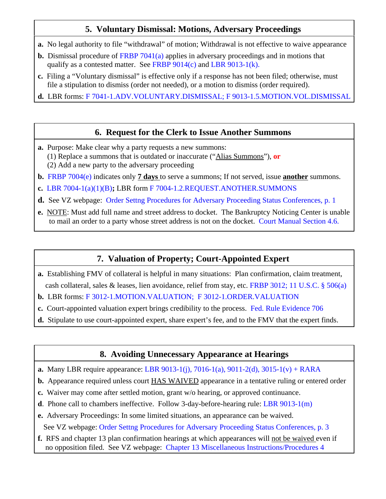### **5. Voluntary Dismissal: Motions, Adversary Proceedings**

- **a.** No legal authority to file "withdrawal" of motion; Withdrawal is not effective to waive appearance
- **b.** Dismissal procedure of FRBP 7041(a) applies in adversary proceedings and in motions that qualify as a contested matter. See FRBP 9014(c) and LBR 9013-1(k).
- **c.** Filing a "Voluntary dismissal" is effective only if a response has not been filed; otherwise, must file a stipulation to dismiss (order not needed), or a motion to dismiss (order required).
- **d.** LBR forms: F 7041-1.ADV.VOLUNTARY.DISMISSAL; F 9013-1.5.MOTION.VOL.DISMISSAL

### **6. Request for the Clerk to Issue Another Summons**

- **a.** Purpose: Make clear why a party requests a new summons:
	- (1) Replace a summons that is outdated or inaccurate ("Alias Summons"), **or**
	- (2) Add a new party to the adversary proceeding
- **b.** FRBP 7004(e) indicates only **7 days** to serve a summons; If not served, issue **another** summons.
- **c.** LBR 7004-1(a)(1)(B)**;** LBR form F 7004-1.2.REQUEST.ANOTHER.SUMMONS
- **d.** See VZ webpage: Order Settng Procedures for Adversary Proceeding Status Conferences, p. 1
- **e.** NOTE: Must add full name and street address to docket. The Bankruptcy Noticing Center is unable to mail an order to a party whose street address is not on the docket. Court Manual Section 4.6.

# **7. Valuation of Property; Court-Appointed Expert**

- **a.** Establishing FMV of collateral is helpful in many situations: Plan confirmation, claim treatment, cash collateral, sales & leases, lien avoidance, relief from stay, etc. FRBP 3012; 11 U.S.C. § 506(a)
- **b.** LBR forms: F 3012-1.MOTION.VALUATION; F 3012-1.ORDER.VALUATION
- **c.** Court-appointed valuation expert brings credibility to the process. Fed. Rule Evidence 706
- **d.** Stipulate to use court-appointed expert, share expert's fee, and to the FMV that the expert finds.

# **8. Avoiding Unnecessary Appearance at Hearings**

- **a.** Many LBR require appearance: LBR 9013-1(j), 7016-1(a), 9011-2(d), 3015-1(v) + RARA
- **b.** Appearance required unless court **HAS WAIVED** appearance in a tentative ruling or entered order
- **c.** Waiver may come after settled motion, grant w/o hearing, or approved continuance.
- **d**. Phone call to chambers ineffective. Follow 3-day-before-hearing rule: LBR 9013-1(m)
- **e.** Adversary Proceedings: In some limited situations, an appearance can be waived.

See VZ webpage: Order Settng Procedures for Adversary Proceeding Status Conferences, p. 3

**f.** RFS and chapter 13 plan confirmation hearings at which appearances will not be waived even if no opposition filed. See VZ webpage: Chapter 13 Miscellaneous Instructions/Procedures 4